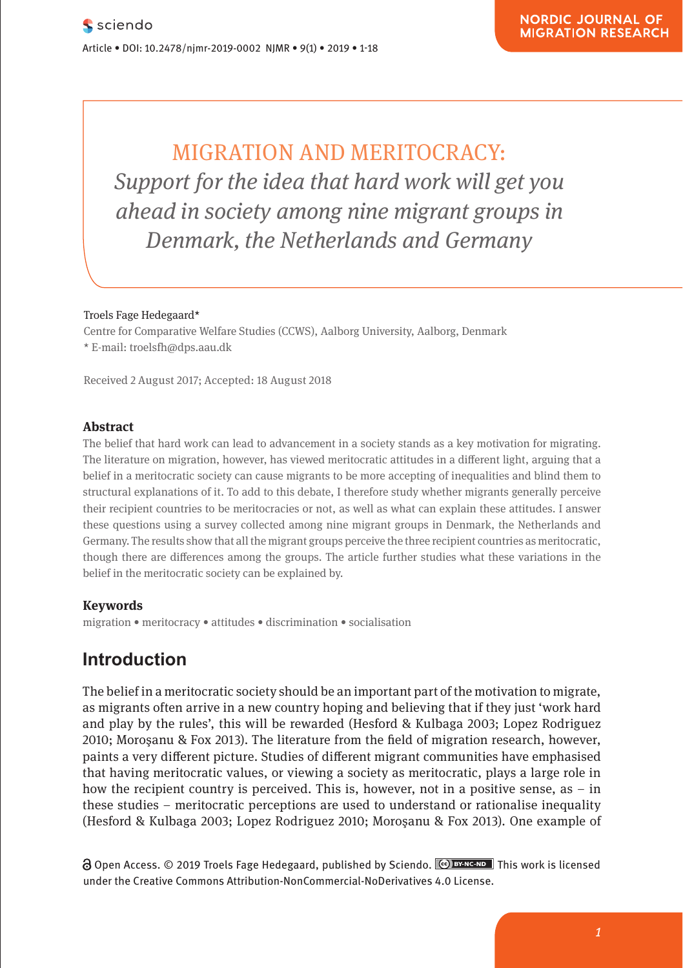| MIGRATION AND MERITOCRACY: **Support for the idea that hard work will get you Algebar 2 In 2018 in Society among nine migrant groups in Example 21 Denmark, the Netherlands and Germany** 

### Troels Fage Hedegaard\* **Comparison**

Research Article

Centre for Comparative Welfare Studies (CCWS), Aalborg University, Aalborg, Denmark<br>Charlotte und mentale selbstveränder  $\star$  E-mail: troelsfh@dps.aau.dk

**Pharmacological and Mental Self-transformation in Ethic** 

Received 2 August 2017; Accepted: 18 August 2018

#### **Abstract**

The belief that hard work can lead to advancement in a society stands as a key motivation for migrating. The literature on migration, however, has viewed meritocratic attitudes in a different light, arguing that a belief in a meritocratic society can cause migrants to be more accepting of inequalities and blind them to the main investigation and the main investigation and the main investigation and the main investigation and the mai structural explanations of it. To add to this debate, I therefore study whether migrants generally perceive their recipient countries to be meritocracies or not, as well as what can explain these attitudes. I answer these questions using a survey collected among nine migrant groups in Denmark, the Netherlands and Germany. The results show that all the migrant groups perceive the three recipient countries as meritocratic, though there are differences among the groups. The article further studies what these variations in the though there are differences among the groups. The article further studies what these variations in the belief in the meritocratic society can be explained by.

#### **Keywords**

Journal xyz 2017; 1 (2): 122–135

migration • meritocracy • attitudes • discrimination • socialisation

# **Introduction**

The belief in a meritocratic society should be an important part of the motivation to migrate, as migrants often arrive in a new country hoping and believing that if they just 'work hard and play by the rules', this will be rewarded (Hesford & Kulbaga 2003; Lopez Rodriguez 2010; Moroşanu & Fox 2013). The literature from the field of migration research, however, paints a very different picture. Studies of different migrant communities have emphasised that having meritocratic values, or viewing a society as meritocratic, plays a large role in how the recipient country is perceived. This is, however, not in a positive sense, as - in these studies – meritocratic perceptions are used to understand or rationalise inequality (Hesford & Kulbaga 2003; Lopez Rodriguez 2010; Moroşanu & Fox 2013). One example of

**a** Open Access. © 2019 Troels Fage Hedegaard, published by Sciendo. **CO** DYNC-ND This work is licensed under the Creative Commons Attribution-NonCommercial-NoDerivatives 4.0 License.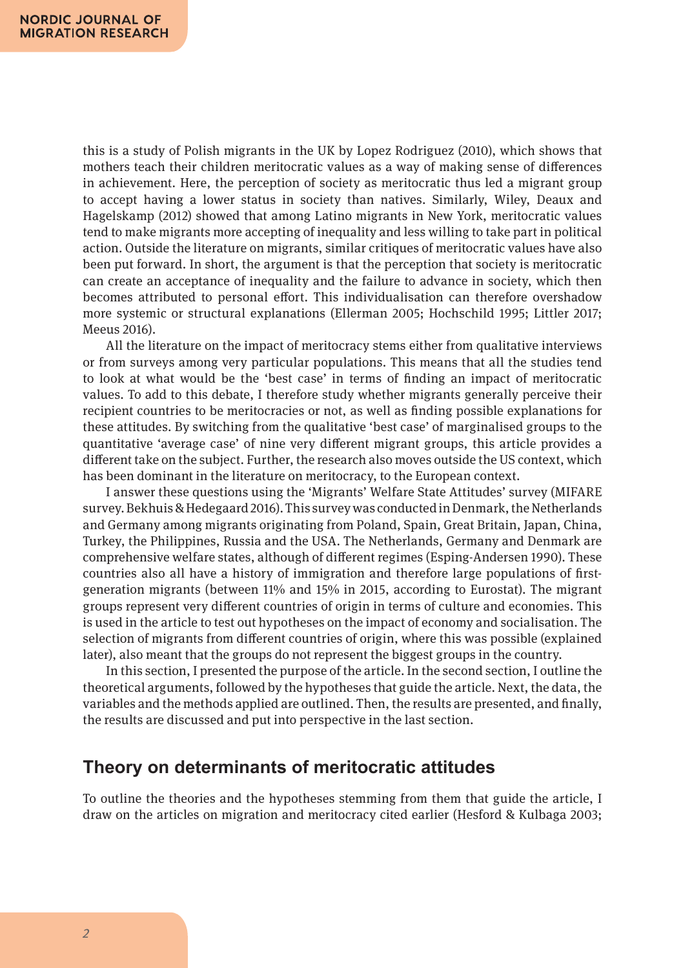this is a study of Polish migrants in the UK by Lopez Rodriguez (2010), which shows that mothers teach their children meritocratic values as a way of making sense of differences in achievement. Here, the perception of society as meritocratic thus led a migrant group to accept having a lower status in society than natives. Similarly, Wiley, Deaux and Hagelskamp (2012) showed that among Latino migrants in New York, meritocratic values tend to make migrants more accepting of inequality and less willing to take part in political action. Outside the literature on migrants, similar critiques of meritocratic values have also been put forward. In short, the argument is that the perception that society is meritocratic can create an acceptance of inequality and the failure to advance in society, which then becomes attributed to personal effort. This individualisation can therefore overshadow more systemic or structural explanations (Ellerman 2005; Hochschild 1995; Littler 2017; Meeus 2016).

All the literature on the impact of meritocracy stems either from qualitative interviews or from surveys among very particular populations. This means that all the studies tend to look at what would be the 'best case' in terms of finding an impact of meritocratic values. To add to this debate, I therefore study whether migrants generally perceive their recipient countries to be meritocracies or not, as well as finding possible explanations for these attitudes. By switching from the qualitative 'best case' of marginalised groups to the quantitative 'average case' of nine very different migrant groups, this article provides a different take on the subject. Further, the research also moves outside the US context, which has been dominant in the literature on meritocracy, to the European context.

I answer these questions using the 'Migrants' Welfare State Attitudes' survey (MIFARE survey. Bekhuis & Hedegaard 2016). This survey was conducted in Denmark, the Netherlands and Germany among migrants originating from Poland, Spain, Great Britain, Japan, China, Turkey, the Philippines, Russia and the USA. The Netherlands, Germany and Denmark are comprehensive welfare states, although of different regimes (Esping-Andersen 1990). These countries also all have a history of immigration and therefore large populations of firstgeneration migrants (between 11% and 15% in 2015, according to Eurostat). The migrant groups represent very different countries of origin in terms of culture and economies. This is used in the article to test out hypotheses on the impact of economy and socialisation. The selection of migrants from different countries of origin, where this was possible (explained later), also meant that the groups do not represent the biggest groups in the country.

In this section, I presented the purpose of the article. In the second section, I outline the theoretical arguments, followed by the hypotheses that guide the article. Next, the data, the variables and the methods applied are outlined. Then, the results are presented, and finally, the results are discussed and put into perspective in the last section.

### **Theory on determinants of meritocratic attitudes**

To outline the theories and the hypotheses stemming from them that guide the article, I draw on the articles on migration and meritocracy cited earlier (Hesford & Kulbaga 2003;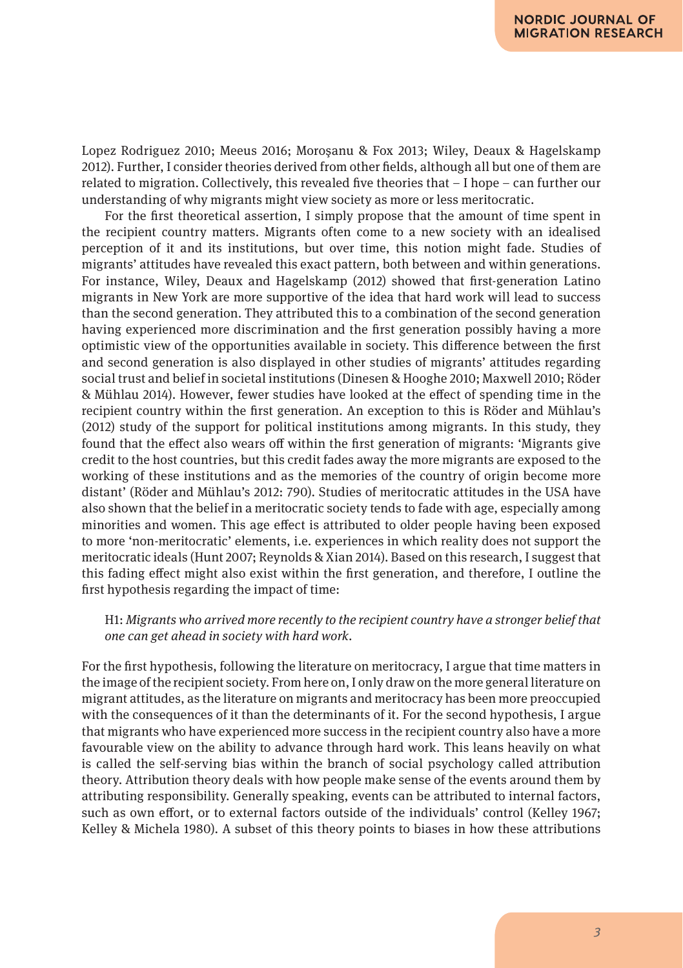Lopez Rodriguez 2010; Meeus 2016; Moroşanu & Fox 2013; Wiley, Deaux & Hagelskamp 2012). Further, I consider theories derived from other fields, although all but one of them are related to migration. Collectively, this revealed five theories that – I hope – can further our understanding of why migrants might view society as more or less meritocratic.

For the first theoretical assertion, I simply propose that the amount of time spent in the recipient country matters. Migrants often come to a new society with an idealised perception of it and its institutions, but over time, this notion might fade. Studies of migrants' attitudes have revealed this exact pattern, both between and within generations. For instance, Wiley, Deaux and Hagelskamp (2012) showed that first-generation Latino migrants in New York are more supportive of the idea that hard work will lead to success than the second generation. They attributed this to a combination of the second generation having experienced more discrimination and the first generation possibly having a more optimistic view of the opportunities available in society. This difference between the first and second generation is also displayed in other studies of migrants' attitudes regarding social trust and belief in societal institutions (Dinesen & Hooghe 2010; Maxwell 2010; Röder & Mühlau 2014). However, fewer studies have looked at the effect of spending time in the recipient country within the first generation. An exception to this is Röder and Mühlau's (2012) study of the support for political institutions among migrants. In this study, they found that the effect also wears off within the first generation of migrants: 'Migrants give credit to the host countries, but this credit fades away the more migrants are exposed to the working of these institutions and as the memories of the country of origin become more distant' (Röder and Mühlau's 2012: 790). Studies of meritocratic attitudes in the USA have also shown that the belief in a meritocratic society tends to fade with age, especially among minorities and women. This age effect is attributed to older people having been exposed to more 'non-meritocratic' elements, i.e. experiences in which reality does not support the meritocratic ideals (Hunt 2007; Reynolds & Xian 2014). Based on this research, I suggest that this fading effect might also exist within the first generation, and therefore, I outline the first hypothesis regarding the impact of time:

#### H1: *Migrants who arrived more recently to the recipient country have a stronger belief that one can get ahead in society with hard work*.

For the first hypothesis, following the literature on meritocracy, I argue that time matters in the image of the recipient society. From here on, I only draw on the more general literature on migrant attitudes, as the literature on migrants and meritocracy has been more preoccupied with the consequences of it than the determinants of it. For the second hypothesis, I argue that migrants who have experienced more success in the recipient country also have a more favourable view on the ability to advance through hard work. This leans heavily on what is called the self-serving bias within the branch of social psychology called attribution theory. Attribution theory deals with how people make sense of the events around them by attributing responsibility. Generally speaking, events can be attributed to internal factors, such as own effort, or to external factors outside of the individuals' control (Kelley 1967; Kelley & Michela 1980). A subset of this theory points to biases in how these attributions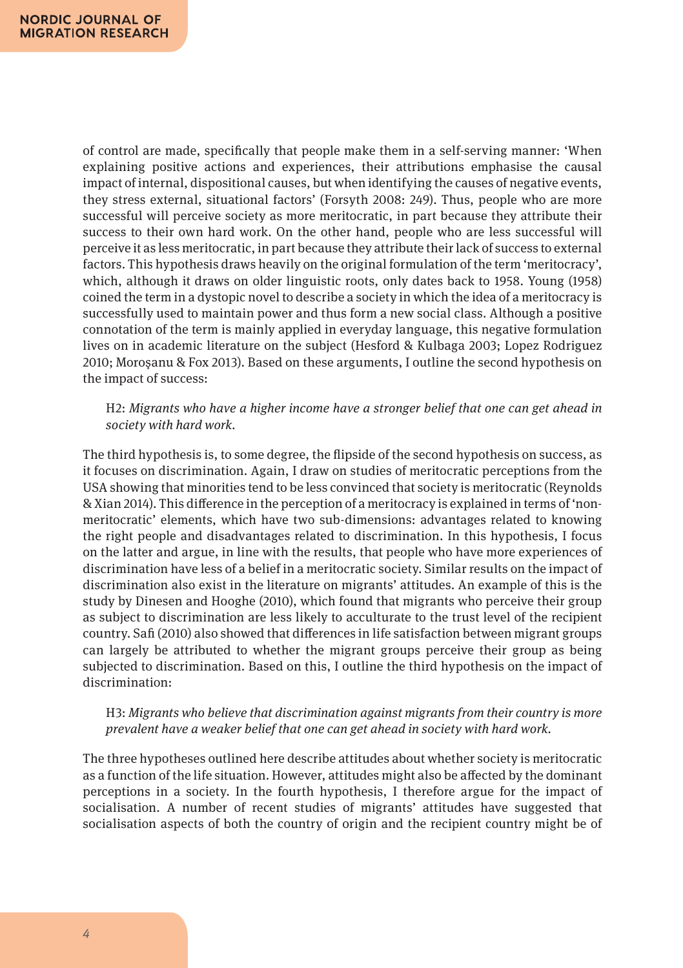of control are made, specifically that people make them in a self-serving manner: 'When explaining positive actions and experiences, their attributions emphasise the causal impact of internal, dispositional causes, but when identifying the causes of negative events, they stress external, situational factors' (Forsyth 2008: 249). Thus, people who are more successful will perceive society as more meritocratic, in part because they attribute their success to their own hard work. On the other hand, people who are less successful will perceive it as less meritocratic, in part because they attribute their lack of success to external factors. This hypothesis draws heavily on the original formulation of the term 'meritocracy', which, although it draws on older linguistic roots, only dates back to 1958. Young (1958) coined the term in a dystopic novel to describe a society in which the idea of a meritocracy is successfully used to maintain power and thus form a new social class. Although a positive connotation of the term is mainly applied in everyday language, this negative formulation lives on in academic literature on the subject (Hesford & Kulbaga 2003; Lopez Rodriguez 2010; Moroşanu & Fox 2013). Based on these arguments, I outline the second hypothesis on the impact of success:

H2: *Migrants who have a higher income have a stronger belief that one can get ahead in society with hard work.*

The third hypothesis is, to some degree, the flipside of the second hypothesis on success, as it focuses on discrimination. Again, I draw on studies of meritocratic perceptions from the USA showing that minorities tend to be less convinced that society is meritocratic (Reynolds & Xian 2014). This difference in the perception of a meritocracy is explained in terms of 'nonmeritocratic' elements, which have two sub-dimensions: advantages related to knowing the right people and disadvantages related to discrimination. In this hypothesis, I focus on the latter and argue, in line with the results, that people who have more experiences of discrimination have less of a belief in a meritocratic society. Similar results on the impact of discrimination also exist in the literature on migrants' attitudes. An example of this is the study by Dinesen and Hooghe (2010), which found that migrants who perceive their group as subject to discrimination are less likely to acculturate to the trust level of the recipient country. Safi (2010) also showed that differences in life satisfaction between migrant groups can largely be attributed to whether the migrant groups perceive their group as being subjected to discrimination. Based on this, I outline the third hypothesis on the impact of discrimination:

#### H3: *Migrants who believe that discrimination against migrants from their country is more prevalent have a weaker belief that one can get ahead in society with hard work.*

The three hypotheses outlined here describe attitudes about whether society is meritocratic as a function of the life situation. However, attitudes might also be affected by the dominant perceptions in a society. In the fourth hypothesis, I therefore argue for the impact of socialisation. A number of recent studies of migrants' attitudes have suggested that socialisation aspects of both the country of origin and the recipient country might be of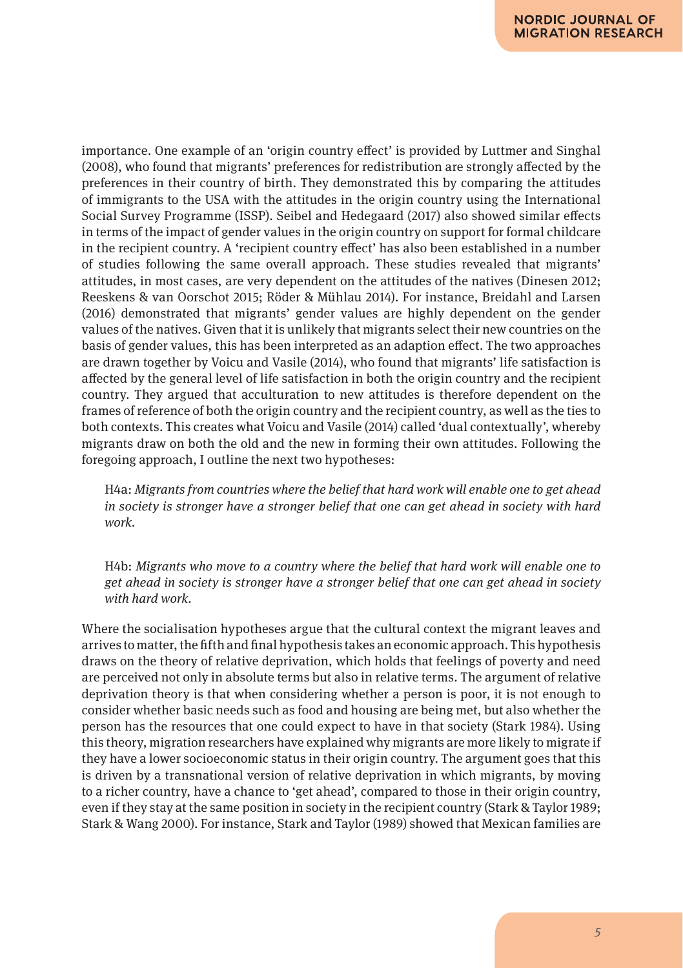importance. One example of an 'origin country effect' is provided by Luttmer and Singhal (2008), who found that migrants' preferences for redistribution are strongly affected by the preferences in their country of birth. They demonstrated this by comparing the attitudes of immigrants to the USA with the attitudes in the origin country using the International Social Survey Programme (ISSP). Seibel and Hedegaard (2017) also showed similar effects in terms of the impact of gender values in the origin country on support for formal childcare in the recipient country. A 'recipient country effect' has also been established in a number of studies following the same overall approach. These studies revealed that migrants' attitudes, in most cases, are very dependent on the attitudes of the natives (Dinesen 2012; Reeskens & van Oorschot 2015; Röder & Mühlau 2014). For instance, Breidahl and Larsen (2016) demonstrated that migrants' gender values are highly dependent on the gender values of the natives. Given that it is unlikely that migrants select their new countries on the basis of gender values, this has been interpreted as an adaption effect. The two approaches are drawn together by Voicu and Vasile (2014), who found that migrants' life satisfaction is affected by the general level of life satisfaction in both the origin country and the recipient country. They argued that acculturation to new attitudes is therefore dependent on the frames of reference of both the origin country and the recipient country, as well as the ties to both contexts. This creates what Voicu and Vasile (2014) called 'dual contextually', whereby migrants draw on both the old and the new in forming their own attitudes. Following the foregoing approach, I outline the next two hypotheses:

H4a: *Migrants from countries where the belief that hard work will enable one to get ahead in society is stronger have a stronger belief that one can get ahead in society with hard work.*

H4b: *Migrants who move to a country where the belief that hard work will enable one to get ahead in society is stronger have a stronger belief that one can get ahead in society with hard work.*

Where the socialisation hypotheses argue that the cultural context the migrant leaves and arrives to matter, the fifth and final hypothesis takes an economic approach. This hypothesis draws on the theory of relative deprivation, which holds that feelings of poverty and need are perceived not only in absolute terms but also in relative terms. The argument of relative deprivation theory is that when considering whether a person is poor, it is not enough to consider whether basic needs such as food and housing are being met, but also whether the person has the resources that one could expect to have in that society (Stark 1984). Using this theory, migration researchers have explained why migrants are more likely to migrate if they have a lower socioeconomic status in their origin country. The argument goes that this is driven by a transnational version of relative deprivation in which migrants, by moving to a richer country, have a chance to 'get ahead', compared to those in their origin country, even if they stay at the same position in society in the recipient country (Stark & Taylor 1989; Stark & Wang 2000). For instance, Stark and Taylor (1989) showed that Mexican families are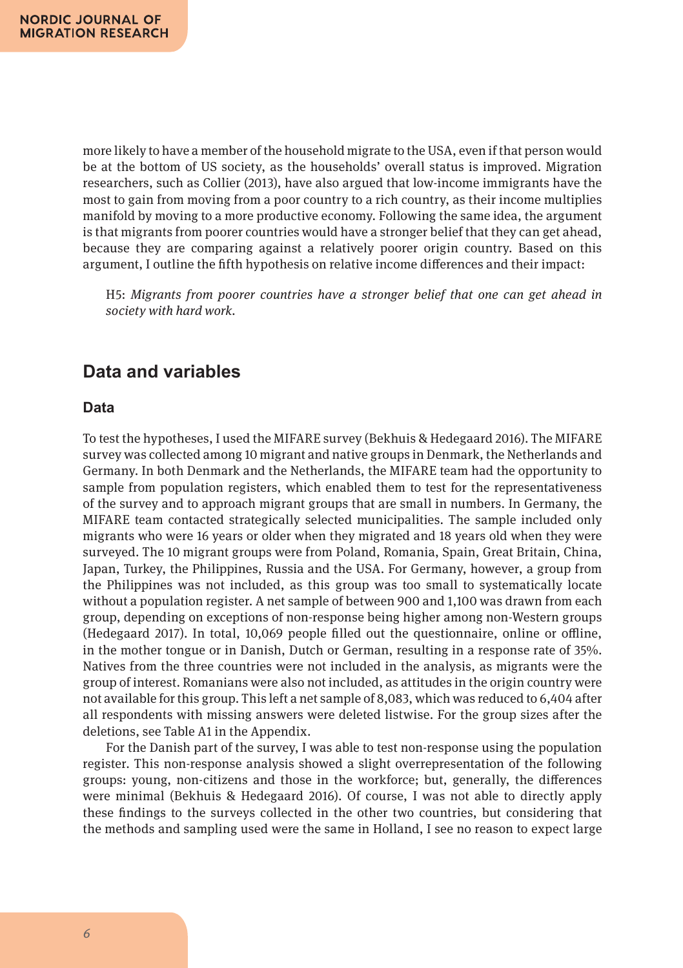more likely to have a member of the household migrate to the USA, even if that person would be at the bottom of US society, as the households' overall status is improved. Migration researchers, such as Collier (2013), have also argued that low-income immigrants have the most to gain from moving from a poor country to a rich country, as their income multiplies manifold by moving to a more productive economy. Following the same idea, the argument is that migrants from poorer countries would have a stronger belief that they can get ahead, because they are comparing against a relatively poorer origin country. Based on this argument, I outline the fifth hypothesis on relative income differences and their impact:

H5: *Migrants from poorer countries have a stronger belief that one can get ahead in society with hard work.*

# **Data and variables**

### **Data**

To test the hypotheses, I used the MIFARE survey (Bekhuis & Hedegaard 2016). The MIFARE survey was collected among 10 migrant and native groups in Denmark, the Netherlands and Germany. In both Denmark and the Netherlands, the MIFARE team had the opportunity to sample from population registers, which enabled them to test for the representativeness of the survey and to approach migrant groups that are small in numbers. In Germany, the MIFARE team contacted strategically selected municipalities. The sample included only migrants who were 16 years or older when they migrated and 18 years old when they were surveyed. The 10 migrant groups were from Poland, Romania, Spain, Great Britain, China, Japan, Turkey, the Philippines, Russia and the USA. For Germany, however, a group from the Philippines was not included, as this group was too small to systematically locate without a population register. A net sample of between 900 and 1,100 was drawn from each group, depending on exceptions of non-response being higher among non-Western groups (Hedegaard 2017). In total, 10,069 people filled out the questionnaire, online or offline, in the mother tongue or in Danish, Dutch or German, resulting in a response rate of 35%. Natives from the three countries were not included in the analysis, as migrants were the group of interest. Romanians were also not included, as attitudes in the origin country were not available for this group. This left a net sample of 8,083, which was reduced to 6,404 after all respondents with missing answers were deleted listwise. For the group sizes after the deletions, see Table A1 in the Appendix.

For the Danish part of the survey, I was able to test non-response using the population register. This non-response analysis showed a slight overrepresentation of the following groups: young, non-citizens and those in the workforce; but, generally, the differences were minimal (Bekhuis & Hedegaard 2016). Of course, I was not able to directly apply these findings to the surveys collected in the other two countries, but considering that the methods and sampling used were the same in Holland, I see no reason to expect large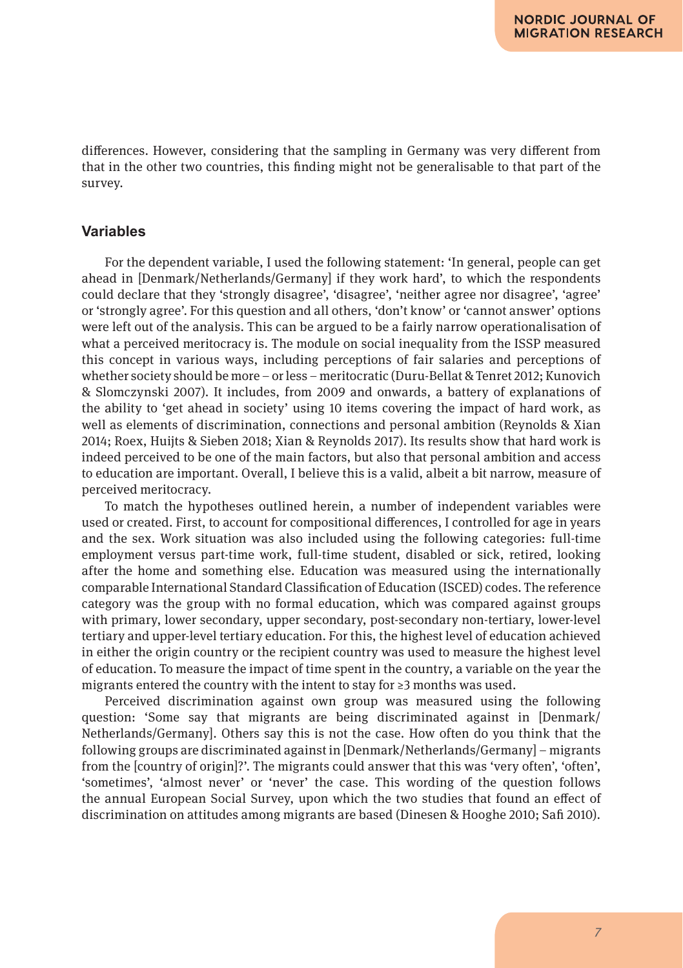differences. However, considering that the sampling in Germany was very different from that in the other two countries, this finding might not be generalisable to that part of the survey.

### **Variables**

For the dependent variable, I used the following statement: 'In general, people can get ahead in [Denmark/Netherlands/Germany] if they work hard', to which the respondents could declare that they 'strongly disagree', 'disagree', 'neither agree nor disagree', 'agree' or 'strongly agree'. For this question and all others, 'don't know' or 'cannot answer' options were left out of the analysis. This can be argued to be a fairly narrow operationalisation of what a perceived meritocracy is. The module on social inequality from the ISSP measured this concept in various ways, including perceptions of fair salaries and perceptions of whether society should be more – or less – meritocratic (Duru-Bellat & Tenret 2012; Kunovich & Slomczynski 2007). It includes, from 2009 and onwards, a battery of explanations of the ability to 'get ahead in society' using 10 items covering the impact of hard work, as well as elements of discrimination, connections and personal ambition (Reynolds & Xian 2014; Roex, Huijts & Sieben 2018; Xian & Reynolds 2017). Its results show that hard work is indeed perceived to be one of the main factors, but also that personal ambition and access to education are important. Overall, I believe this is a valid, albeit a bit narrow, measure of perceived meritocracy.

To match the hypotheses outlined herein, a number of independent variables were used or created. First, to account for compositional differences, I controlled for age in years and the sex. Work situation was also included using the following categories: full-time employment versus part-time work, full-time student, disabled or sick, retired, looking after the home and something else. Education was measured using the internationally comparable International Standard Classification of Education (ISCED) codes. The reference category was the group with no formal education, which was compared against groups with primary, lower secondary, upper secondary, post-secondary non-tertiary, lower-level tertiary and upper-level tertiary education. For this, the highest level of education achieved in either the origin country or the recipient country was used to measure the highest level of education. To measure the impact of time spent in the country, a variable on the year the migrants entered the country with the intent to stay for ≥3 months was used.

Perceived discrimination against own group was measured using the following question: 'Some say that migrants are being discriminated against in [Denmark/ Netherlands/Germany]. Others say this is not the case. How often do you think that the following groups are discriminated against in [Denmark/Netherlands/Germany] – migrants from the [country of origin]?'. The migrants could answer that this was 'very often', 'often', 'sometimes', 'almost never' or 'never' the case. This wording of the question follows the annual European Social Survey, upon which the two studies that found an effect of discrimination on attitudes among migrants are based (Dinesen & Hooghe 2010; Safi 2010).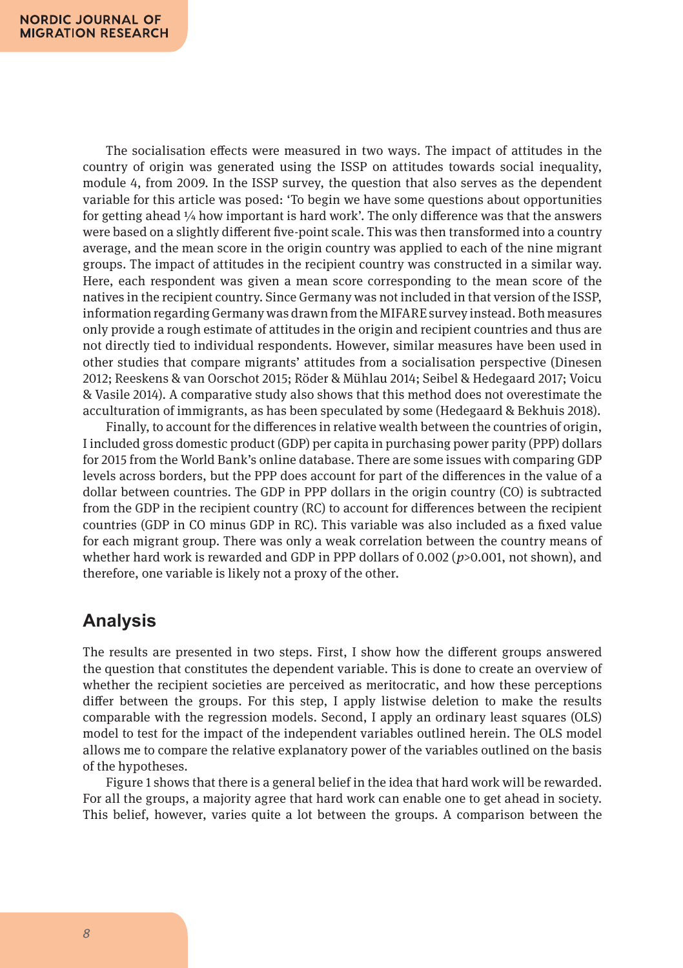The socialisation effects were measured in two ways. The impact of attitudes in the country of origin was generated using the ISSP on attitudes towards social inequality, module 4, from 2009. In the ISSP survey, the question that also serves as the dependent variable for this article was posed: 'To begin we have some questions about opportunities for getting ahead  $\frac{1}{4}$  how important is hard work'. The only difference was that the answers were based on a slightly different five-point scale. This was then transformed into a country average, and the mean score in the origin country was applied to each of the nine migrant groups. The impact of attitudes in the recipient country was constructed in a similar way. Here, each respondent was given a mean score corresponding to the mean score of the natives in the recipient country. Since Germany was not included in that version of the ISSP, information regarding Germany was drawn from the MIFARE survey instead. Both measures only provide a rough estimate of attitudes in the origin and recipient countries and thus are not directly tied to individual respondents. However, similar measures have been used in other studies that compare migrants' attitudes from a socialisation perspective (Dinesen 2012; Reeskens & van Oorschot 2015; Röder & Mühlau 2014; Seibel & Hedegaard 2017; Voicu & Vasile 2014). A comparative study also shows that this method does not overestimate the acculturation of immigrants, as has been speculated by some (Hedegaard & Bekhuis 2018).

Finally, to account for the differences in relative wealth between the countries of origin, I included gross domestic product (GDP) per capita in purchasing power parity (PPP) dollars for 2015 from the World Bank's online database. There are some issues with comparing GDP levels across borders, but the PPP does account for part of the differences in the value of a dollar between countries. The GDP in PPP dollars in the origin country (CO) is subtracted from the GDP in the recipient country (RC) to account for differences between the recipient countries (GDP in CO minus GDP in RC). This variable was also included as a fixed value for each migrant group. There was only a weak correlation between the country means of whether hard work is rewarded and GDP in PPP dollars of 0.002 (*p*>0.001, not shown), and therefore, one variable is likely not a proxy of the other.

# **Analysis**

The results are presented in two steps. First, I show how the different groups answered the question that constitutes the dependent variable. This is done to create an overview of whether the recipient societies are perceived as meritocratic, and how these perceptions differ between the groups. For this step, I apply listwise deletion to make the results comparable with the regression models. Second, I apply an ordinary least squares (OLS) model to test for the impact of the independent variables outlined herein. The OLS model allows me to compare the relative explanatory power of the variables outlined on the basis of the hypotheses.

Figure 1 shows that there is a general belief in the idea that hard work will be rewarded. For all the groups, a majority agree that hard work can enable one to get ahead in society. This belief, however, varies quite a lot between the groups. A comparison between the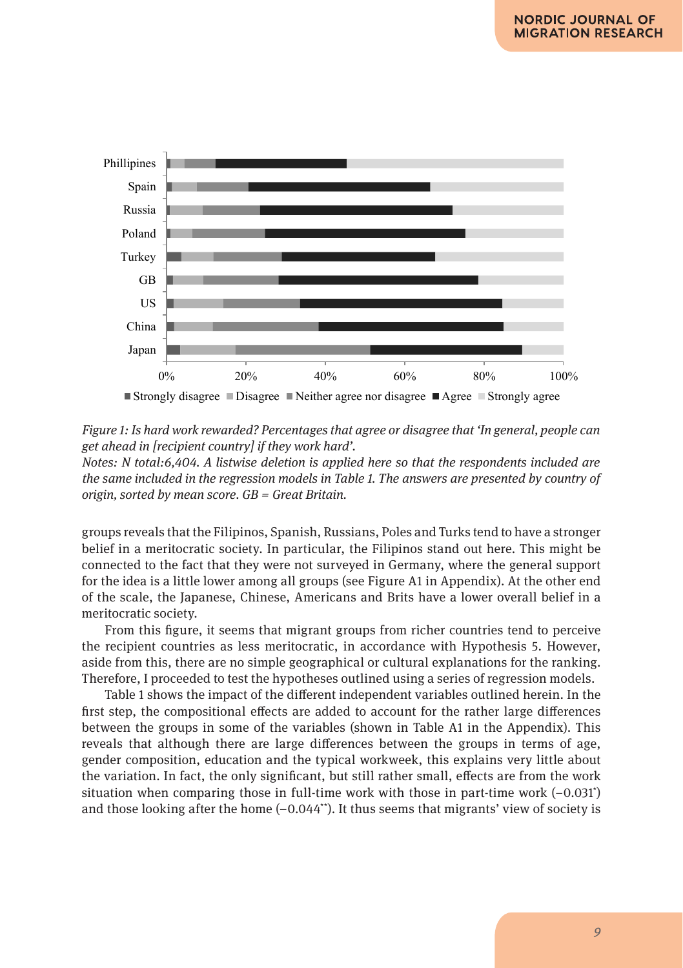

Figure 1: Is hard work rewarded? Percentages that agree or disagree that "In general, people can get

get ahead in [recipient country] if they work hard'. *Figure 1: Is hard work rewarded? Percentages that agree or disagree that 'In general, people can* 

*Notes: N total:6,404. A listwise deletion is applied here so that the respondents included are* the same included in the regression models in Table 1. The answers are presented by country of *origin, sorted by mean score. GB = Great Britain.*

groups reveals that the Filipinos, Spanish, Russians, Poles and Turks tend to have a stronger belief in a meritocratic society. In particular, the Filipinos stand out here. This might be connected to the fact that they were not surveyed in Germany, where the general support for the idea is a little lower among all groups (see Figure A1 in Appendix). At the other end of the scale, the Japanese, Chinese, Americans and Brits have a lower overall belief in a 1 meritocratic society.

From this figure, it seems that migrant groups from richer countries tend to perceive the recipient countries as less meritocratic, in accordance with Hypothesis 5. However, aside from this, there are no simple geographical or cultural explanations for the ranking. Therefore, I proceeded to test the hypotheses outlined using a series of regression models.

Table 1 shows the impact of the different independent variables outlined herein. In the first step, the compositional effects are added to account for the rather large differences between the groups in some of the variables (shown in Table A1 in the Appendix). This reveals that although there are large differences between the groups in terms of age, gender composition, education and the typical workweek, this explains very little about the variation. In fact, the only significant, but still rather small, effects are from the work situation when comparing those in full-time work with those in part-time work (–0.031\* ) and those looking after the home  $(-0.044^*)$ . It thus seems that migrants' view of society is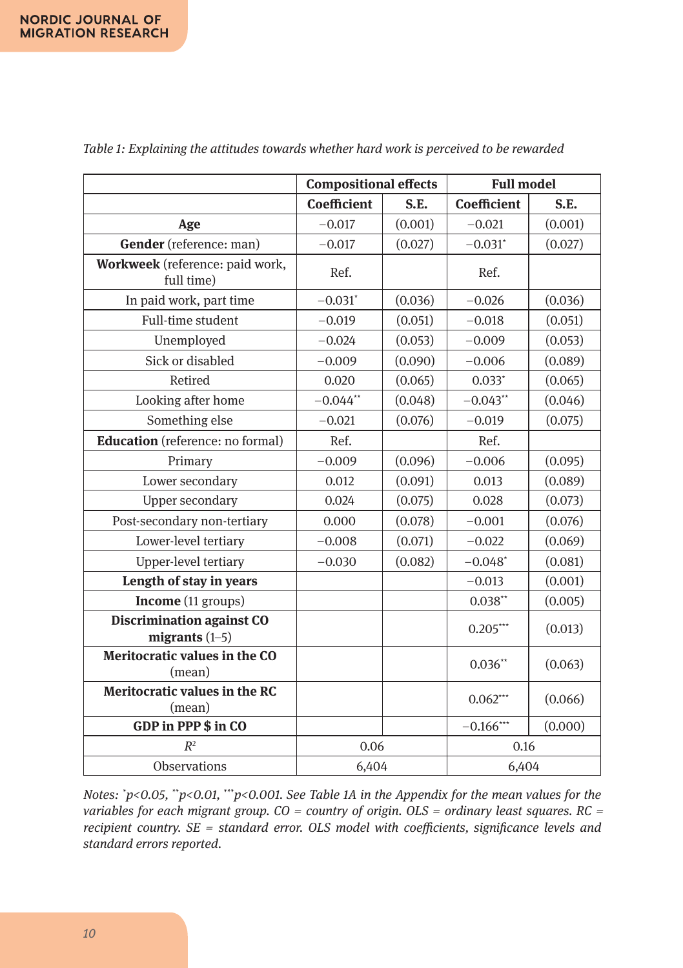|                                                      | <b>Compositional effects</b> |         | <b>Full model</b>     |         |  |
|------------------------------------------------------|------------------------------|---------|-----------------------|---------|--|
|                                                      | <b>Coefficient</b>           | S.E.    | <b>Coefficient</b>    | S.E.    |  |
| Age                                                  | $-0.017$                     | (0.001) | $-0.021$              | (0.001) |  |
| Gender (reference: man)                              | $-0.017$                     | (0.027) | $-0.031$ *            | (0.027) |  |
| Workweek (reference: paid work,<br>full time)        | Ref.                         |         | Ref.                  |         |  |
| In paid work, part time                              | $-0.031$ *                   | (0.036) | $-0.026$              | (0.036) |  |
| Full-time student                                    | $-0.019$                     | (0.051) | $-0.018$              | (0.051) |  |
| Unemployed                                           | $-0.024$                     | (0.053) | $-0.009$              | (0.053) |  |
| Sick or disabled                                     | $-0.009$                     | (0.090) | $-0.006$              | (0.089) |  |
| Retired                                              | 0.020                        | (0.065) | $0.033*$              | (0.065) |  |
| Looking after home                                   | $-0.044**$                   | (0.048) | $-0.043**$            | (0.046) |  |
| Something else                                       | $-0.021$                     | (0.076) | $-0.019$              | (0.075) |  |
| <b>Education</b> (reference: no formal)              | Ref.                         |         | Ref.                  |         |  |
| Primary                                              | $-0.009$                     | (0.096) | $-0.006$              | (0.095) |  |
| Lower secondary                                      | 0.012                        | (0.091) | 0.013                 | (0.089) |  |
| <b>Upper secondary</b>                               | 0.024                        | (0.075) | 0.028                 | (0.073) |  |
| Post-secondary non-tertiary                          | 0.000                        | (0.078) | $-0.001$              | (0.076) |  |
| Lower-level tertiary                                 | $-0.008$                     | (0.071) | $-0.022$              | (0.069) |  |
| Upper-level tertiary                                 | $-0.030$                     | (0.082) | $-0.048$ <sup>*</sup> | (0.081) |  |
| Length of stay in years                              |                              |         | $-0.013$              | (0.001) |  |
| Income (11 groups)                                   |                              |         | $0.038**$             | (0.005) |  |
| <b>Discrimination against CO</b><br>migrants $(1-5)$ |                              |         | $0.205***$            | (0.013) |  |
| Meritocratic values in the CO<br>(mean)              |                              |         | $0.036**$             | (0.063) |  |
| Meritocratic values in the RC<br>(mean)              |                              |         | $0.062***$            | (0.066) |  |
| GDP in PPP \$ in CO                                  |                              |         | $-0.166***$           | (0.000) |  |
| $R^2$                                                | 0.06                         |         | 0.16                  |         |  |
| Observations                                         | 6,404                        |         | 6,404                 |         |  |

*Table 1: Explaining the attitudes towards whether hard work is perceived to be rewarded*

*Notes: \* p<0.05, \*\*p<0.01, \*\*\*p<0.001. See Table 1A in the Appendix for the mean values for the variables for each migrant group. CO = country of origin. OLS = ordinary least squares. RC = recipient country. SE = standard error. OLS model with coefficients, significance levels and standard errors reported.*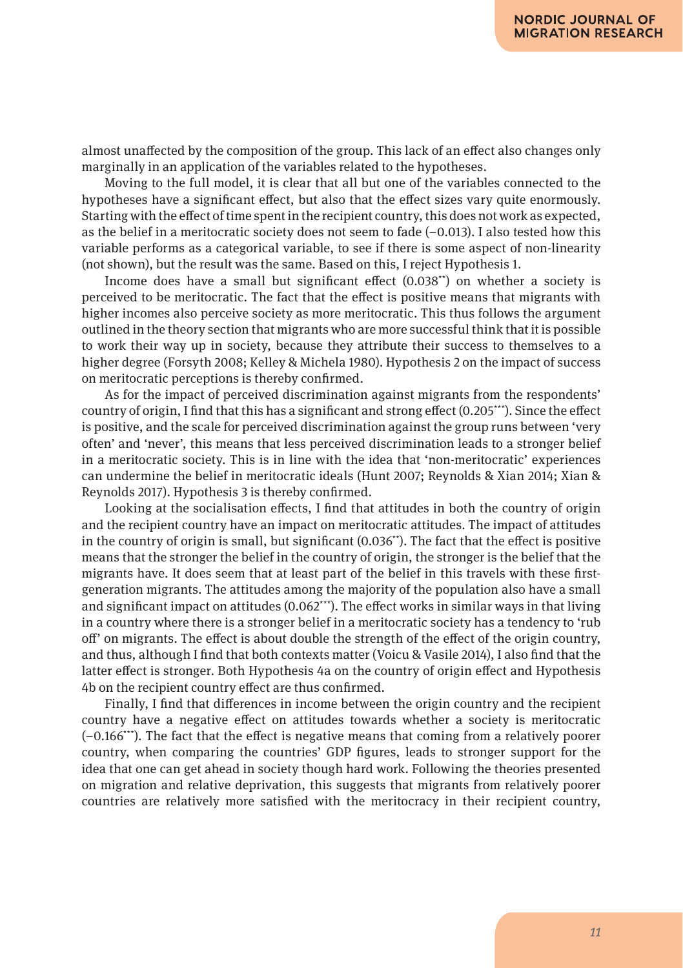almost unaffected by the composition of the group. This lack of an effect also changes only marginally in an application of the variables related to the hypotheses.

Moving to the full model, it is clear that all but one of the variables connected to the hypotheses have a significant effect, but also that the effect sizes vary quite enormously. Starting with the effect of time spent in the recipient country, this does not work as expected, as the belief in a meritocratic society does not seem to fade  $(-0.013)$ . I also tested how this variable performs as a categorical variable, to see if there is some aspect of non-linearity (not shown), but the result was the same. Based on this, I reject Hypothesis 1.

Income does have a small but significant effect  $(0.038<sup>**</sup>)$  on whether a society is perceived to be meritocratic. The fact that the effect is positive means that migrants with higher incomes also perceive society as more meritocratic. This thus follows the argument outlined in the theory section that migrants who are more successful think that it is possible to work their way up in society, because they attribute their success to themselves to a higher degree (Forsyth 2008; Kelley & Michela 1980). Hypothesis 2 on the impact of success on meritocratic perceptions is thereby confirmed.

As for the impact of perceived discrimination against migrants from the respondents' country of origin, I find that this has a significant and strong effect (0.205\*\*\*). Since the effect is positive, and the scale for perceived discrimination against the group runs between 'very often' and 'never', this means that less perceived discrimination leads to a stronger belief in a meritocratic society. This is in line with the idea that 'non-meritocratic' experiences can undermine the belief in meritocratic ideals (Hunt 2007; Reynolds & Xian 2014; Xian & Reynolds 2017). Hypothesis 3 is thereby confirmed.

Looking at the socialisation effects, I find that attitudes in both the country of origin and the recipient country have an impact on meritocratic attitudes. The impact of attitudes in the country of origin is small, but significant (0.036\*\*). The fact that the effect is positive means that the stronger the belief in the country of origin, the stronger is the belief that the migrants have. It does seem that at least part of the belief in this travels with these firstgeneration migrants. The attitudes among the majority of the population also have a small and significant impact on attitudes (0.062\*\*\*). The effect works in similar ways in that living in a country where there is a stronger belief in a meritocratic society has a tendency to 'rub off' on migrants. The effect is about double the strength of the effect of the origin country, and thus, although I find that both contexts matter (Voicu & Vasile 2014), I also find that the latter effect is stronger. Both Hypothesis 4a on the country of origin effect and Hypothesis 4b on the recipient country effect are thus confirmed.

Finally, I find that differences in income between the origin country and the recipient country have a negative effect on attitudes towards whether a society is meritocratic (–0.166\*\*\*). The fact that the effect is negative means that coming from a relatively poorer country, when comparing the countries' GDP figures, leads to stronger support for the idea that one can get ahead in society though hard work. Following the theories presented on migration and relative deprivation, this suggests that migrants from relatively poorer countries are relatively more satisfied with the meritocracy in their recipient country,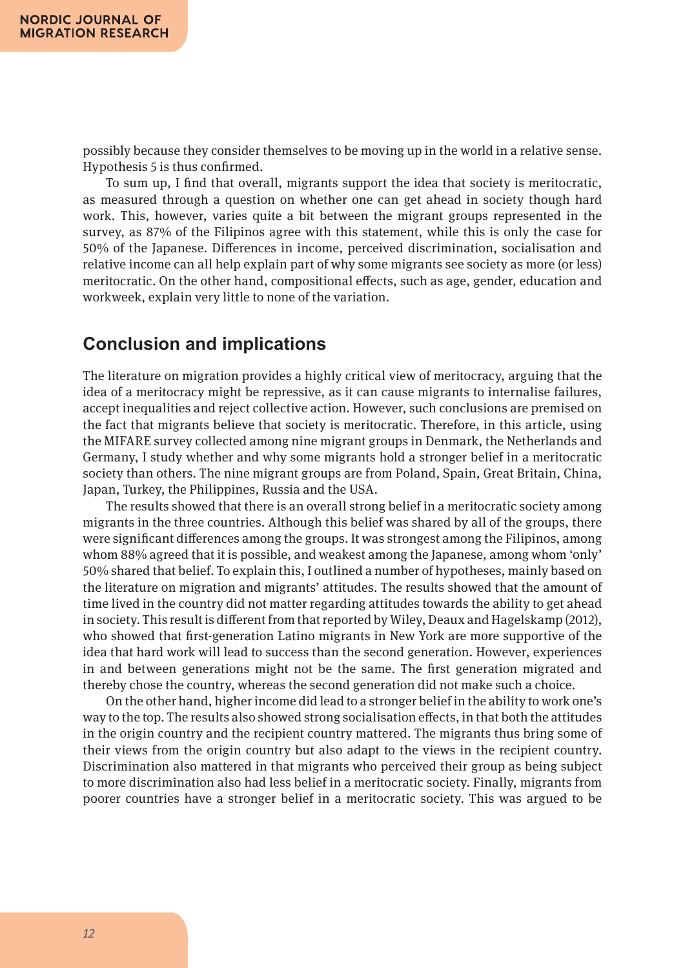possibly because they consider themselves to be moving up in the world in a relative sense. Hypothesis 5 is thus confirmed.

To sum up, I find that overall, migrants support the idea that society is meritocratic, as measured through a question on whether one can get ahead in society though hard work. This, however, varies quite a bit between the migrant groups represented in the survey, as 87% of the Filipinos agree with this statement, while this is only the case for 50% of the Japanese. Differences in income, perceived discrimination, socialisation and relative income can all help explain part of why some migrants see society as more (or less) meritocratic. On the other hand, compositional effects, such as age, gender, education and workweek, explain very little to none of the variation.

# **Conclusion and implications**

The literature on migration provides a highly critical view of meritocracy, arguing that the idea of a meritocracy might be repressive, as it can cause migrants to internalise failures, accept inequalities and reject collective action. However, such conclusions are premised on the fact that migrants believe that society is meritocratic. Therefore, in this article, using the MIFARE survey collected among nine migrant groups in Denmark, the Netherlands and Germany, I study whether and why some migrants hold a stronger belief in a meritocratic society than others. The nine migrant groups are from Poland, Spain, Great Britain, China, Japan, Turkey, the Philippines, Russia and the USA.

The results showed that there is an overall strong belief in a meritocratic society among migrants in the three countries. Although this belief was shared by all of the groups, there were significant differences among the groups. It was strongest among the Filipinos, among whom 88% agreed that it is possible, and weakest among the Japanese, among whom 'only' 50% shared that belief. To explain this, I outlined a number of hypotheses, mainly based on the literature on migration and migrants' attitudes. The results showed that the amount of time lived in the country did not matter regarding attitudes towards the ability to get ahead in society. This result is different from that reported by Wiley, Deaux and Hagelskamp (2012), who showed that first-generation Latino migrants in New York are more supportive of the idea that hard work will lead to success than the second generation. However, experiences in and between generations might not be the same. The first generation migrated and thereby chose the country, whereas the second generation did not make such a choice.

On the other hand, higher income did lead to a stronger belief in the ability to work one's way to the top. The results also showed strong socialisation effects, in that both the attitudes in the origin country and the recipient country mattered. The migrants thus bring some of their views from the origin country but also adapt to the views in the recipient country. Discrimination also mattered in that migrants who perceived their group as being subject to more discrimination also had less belief in a meritocratic society. Finally, migrants from poorer countries have a stronger belief in a meritocratic society. This was argued to be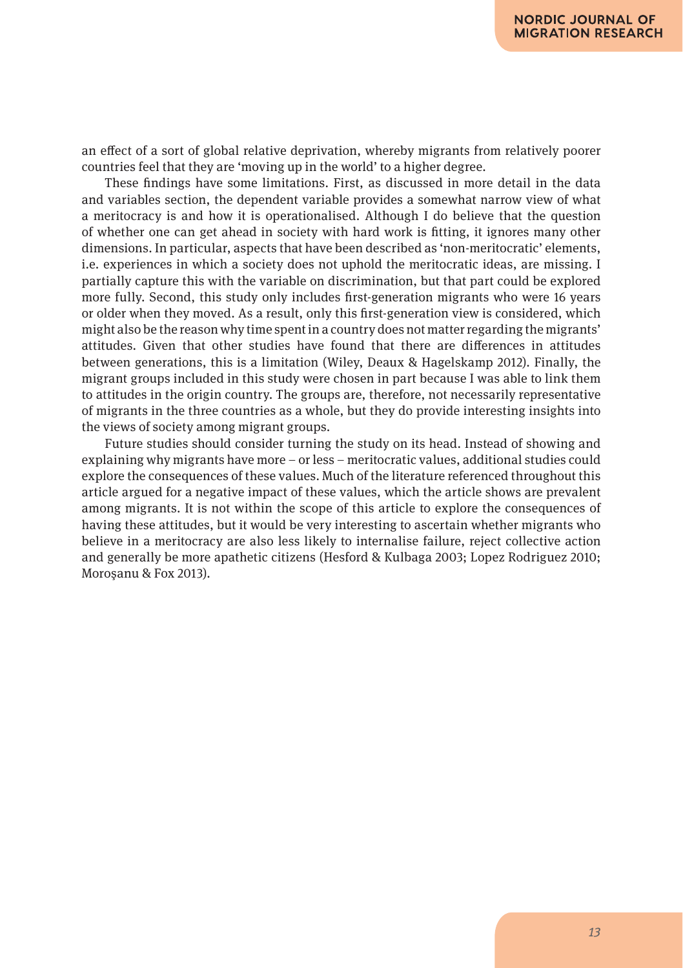an effect of a sort of global relative deprivation, whereby migrants from relatively poorer countries feel that they are 'moving up in the world' to a higher degree.

These findings have some limitations. First, as discussed in more detail in the data and variables section, the dependent variable provides a somewhat narrow view of what a meritocracy is and how it is operationalised. Although I do believe that the question of whether one can get ahead in society with hard work is fitting, it ignores many other dimensions. In particular, aspects that have been described as 'non-meritocratic' elements, i.e. experiences in which a society does not uphold the meritocratic ideas, are missing. I partially capture this with the variable on discrimination, but that part could be explored more fully. Second, this study only includes first-generation migrants who were 16 years or older when they moved. As a result, only this first-generation view is considered, which might also be the reason why time spent in a country does not matter regarding the migrants' attitudes. Given that other studies have found that there are differences in attitudes between generations, this is a limitation (Wiley, Deaux & Hagelskamp 2012). Finally, the migrant groups included in this study were chosen in part because I was able to link them to attitudes in the origin country. The groups are, therefore, not necessarily representative of migrants in the three countries as a whole, but they do provide interesting insights into the views of society among migrant groups.

Future studies should consider turning the study on its head. Instead of showing and explaining why migrants have more – or less – meritocratic values, additional studies could explore the consequences of these values. Much of the literature referenced throughout this article argued for a negative impact of these values, which the article shows are prevalent among migrants. It is not within the scope of this article to explore the consequences of having these attitudes, but it would be very interesting to ascertain whether migrants who believe in a meritocracy are also less likely to internalise failure, reject collective action and generally be more apathetic citizens (Hesford & Kulbaga 2003; Lopez Rodriguez 2010; Moroşanu & Fox 2013).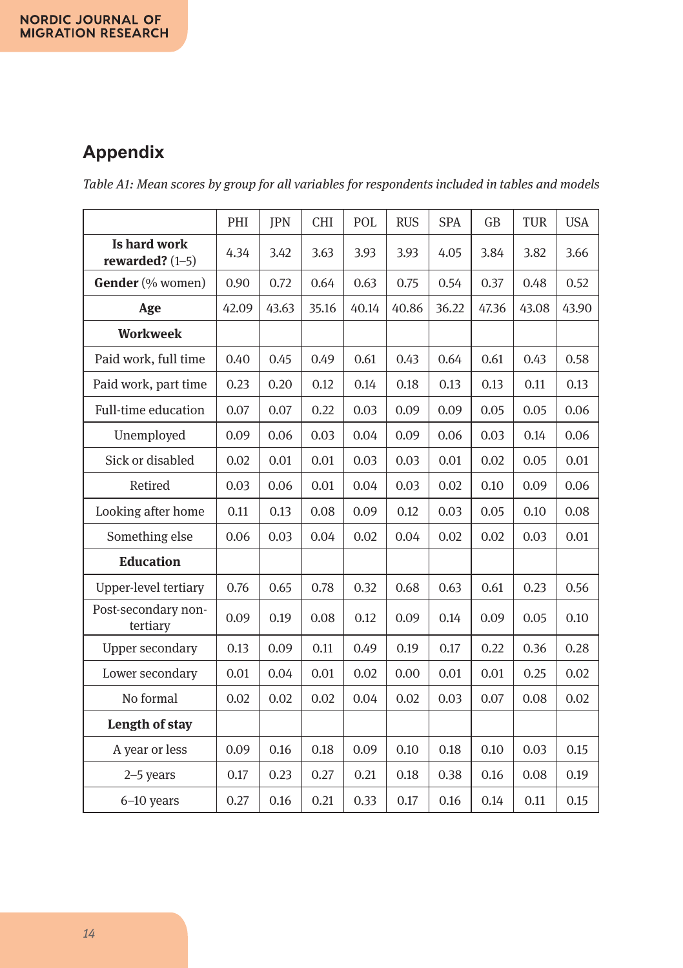# **Appendix**

*Table A1: Mean scores by group for all variables for respondents included in tables and models*

|                                   | PHI   | <b>JPN</b> | <b>CHI</b> | POL   | <b>RUS</b> | <b>SPA</b> | GB    | <b>TUR</b> | <b>USA</b> |
|-----------------------------------|-------|------------|------------|-------|------------|------------|-------|------------|------------|
| Is hard work<br>rewarded? $(1-5)$ | 4.34  | 3.42       | 3.63       | 3.93  | 3.93       | 4.05       | 3.84  | 3.82       | 3.66       |
| <b>Gender</b> (% women)           | 0.90  | 0.72       | 0.64       | 0.63  | 0.75       | 0.54       | 0.37  | 0.48       | 0.52       |
| Age                               | 42.09 | 43.63      | 35.16      | 40.14 | 40.86      | 36.22      | 47.36 | 43.08      | 43.90      |
| <b>Workweek</b>                   |       |            |            |       |            |            |       |            |            |
| Paid work, full time              | 0.40  | 0.45       | 0.49       | 0.61  | 0.43       | 0.64       | 0.61  | 0.43       | 0.58       |
| Paid work, part time              | 0.23  | 0.20       | 0.12       | 0.14  | 0.18       | 0.13       | 0.13  | 0.11       | 0.13       |
| Full-time education               | 0.07  | 0.07       | 0.22       | 0.03  | 0.09       | 0.09       | 0.05  | 0.05       | 0.06       |
| Unemployed                        | 0.09  | 0.06       | 0.03       | 0.04  | 0.09       | 0.06       | 0.03  | 0.14       | 0.06       |
| Sick or disabled                  | 0.02  | 0.01       | 0.01       | 0.03  | 0.03       | 0.01       | 0.02  | 0.05       | 0.01       |
| Retired                           | 0.03  | 0.06       | 0.01       | 0.04  | 0.03       | 0.02       | 0.10  | 0.09       | 0.06       |
| Looking after home                | 0.11  | 0.13       | 0.08       | 0.09  | 0.12       | 0.03       | 0.05  | 0.10       | 0.08       |
| Something else                    | 0.06  | 0.03       | 0.04       | 0.02  | 0.04       | 0.02       | 0.02  | 0.03       | 0.01       |
| <b>Education</b>                  |       |            |            |       |            |            |       |            |            |
| Upper-level tertiary              | 0.76  | 0.65       | 0.78       | 0.32  | 0.68       | 0.63       | 0.61  | 0.23       | 0.56       |
| Post-secondary non-<br>tertiary   | 0.09  | 0.19       | 0.08       | 0.12  | 0.09       | 0.14       | 0.09  | 0.05       | 0.10       |
| Upper secondary                   | 0.13  | 0.09       | 0.11       | 0.49  | 0.19       | 0.17       | 0.22  | 0.36       | 0.28       |
| Lower secondary                   | 0.01  | 0.04       | 0.01       | 0.02  | 0.00       | 0.01       | 0.01  | 0.25       | 0.02       |
| No formal                         | 0.02  | 0.02       | 0.02       | 0.04  | 0.02       | 0.03       | 0.07  | 0.08       | 0.02       |
| <b>Length of stay</b>             |       |            |            |       |            |            |       |            |            |
| A year or less                    | 0.09  | 0.16       | 0.18       | 0.09  | 0.10       | 0.18       | 0.10  | 0.03       | 0.15       |
| $2-5$ years                       | 0.17  | 0.23       | 0.27       | 0.21  | 0.18       | 0.38       | 0.16  | 0.08       | 0.19       |
| $6-10$ years                      | 0.27  | 0.16       | 0.21       | 0.33  | 0.17       | 0.16       | 0.14  | 0.11       | 0.15       |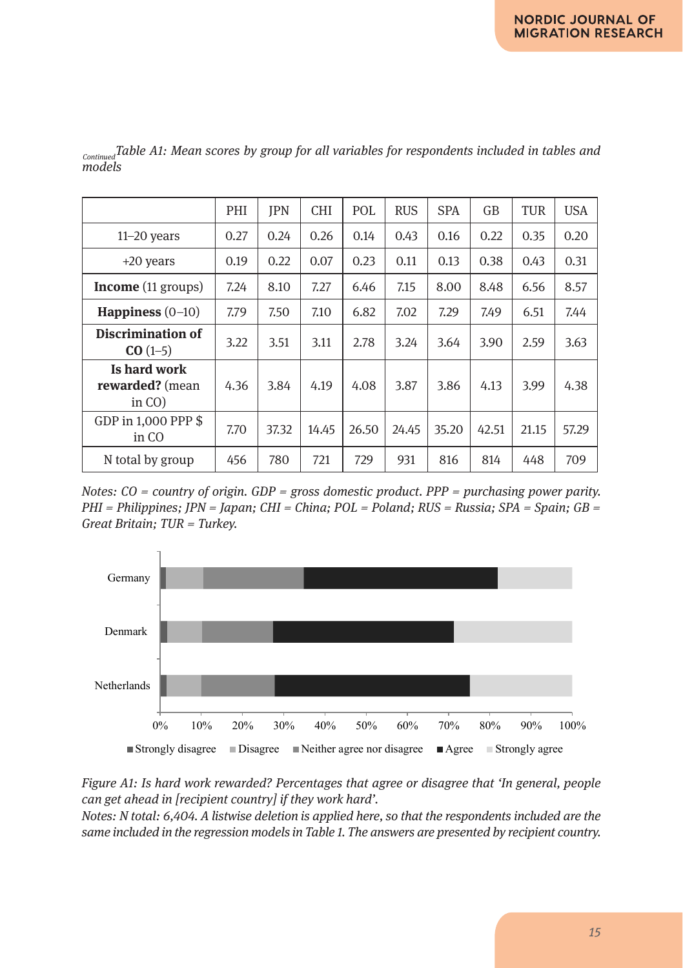|                                              | PHI  | <b>IPN</b> | <b>CHI</b> | POL   | <b>RUS</b> | <b>SPA</b> | GB    | TUR   | <b>USA</b> |
|----------------------------------------------|------|------------|------------|-------|------------|------------|-------|-------|------------|
| $11-20$ years                                | 0.27 | 0.24       | 0.26       | 0.14  | 0.43       | 0.16       | 0.22  | 0.35  | 0.20       |
| $+20$ years                                  | 0.19 | 0.22       | 0.07       | 0.23  | 0.11       | 0.13       | 0.38  | 0.43  | 0.31       |
| <b>Income</b> (11 groups)                    | 7.24 | 8.10       | 7.27       | 6.46  | 7.15       | 8.00       | 8.48  | 6.56  | 8.57       |
| Happiness $(0-10)$                           | 7.79 | 7.50       | 7.10       | 6.82  | 7.02       | 7.29       | 7.49  | 6.51  | 7.44       |
| Discrimination of<br>$CO(1-5)$               | 3.22 | 3.51       | 3.11       | 2.78  | 3.24       | 3.64       | 3.90  | 2.59  | 3.63       |
| Is hard work<br>rewarded? (mean<br>in $CO$ ) | 4.36 | 3.84       | 4.19       | 4.08  | 3.87       | 3.86       | 4.13  | 3.99  | 4.38       |
| GDP in 1,000 PPP \$<br>in CO                 | 7.70 | 37.32      | 14.45      | 26.50 | 24.45      | 35.20      | 42.51 | 21.15 | 57.29      |
| N total by group                             | 456  | 780        | 721        | 729   | 931        | 816        | 814   | 448   | 709        |

*ContinuedTable A1: Mean scores by group for all variables for respondents included in tables and models*

*Notes: CO = country of origin. GDP = gross domestic product. PPP = purchasing power parity. PHI = Philippines; JPN = Japan; CHI = China; POL = Poland; RUS = Russia; SPA = Spain; GB = Great Britain; TUR = Turkey.*



can get ahead in [recipient country] if they work hard'. *Figure A1: Is hard work rewarded? Percentages that agree or disagree that 'In general, people* 

same included in the regression models in Table 1. The answers are presented by recipient country. *Notes: N total: 6,404. A listwise deletion is applied here, so that the respondents included are the*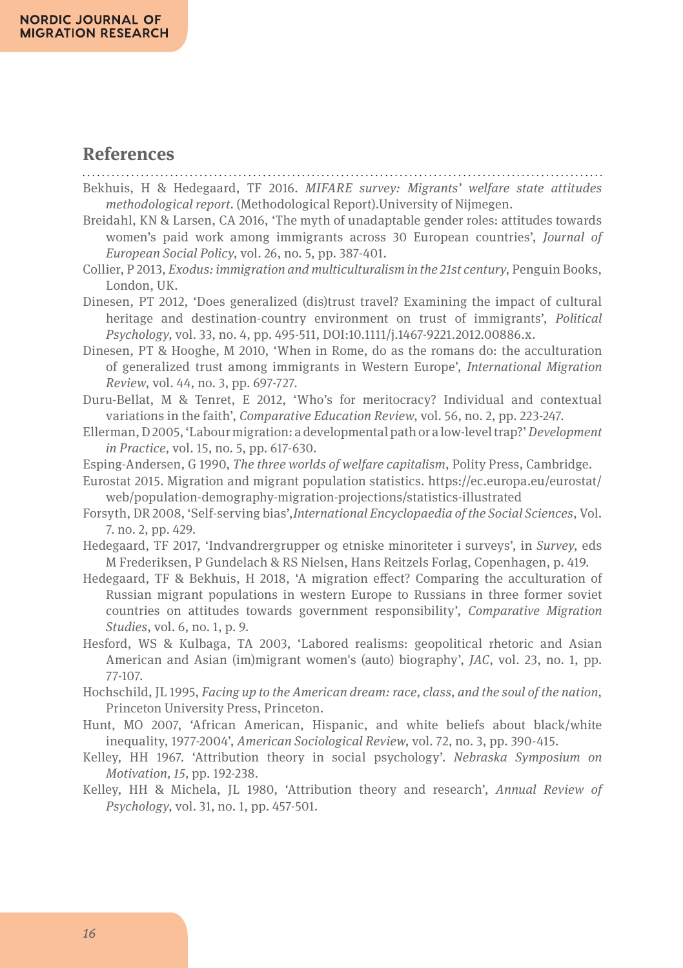### **References**

Bekhuis, H & Hedegaard, TF 2016. *MIFARE survey: Migrants' welfare state attitudes methodological report.* (Methodological Report).University of Nijmegen.

- Breidahl, KN & Larsen, CA 2016, 'The myth of unadaptable gender roles: attitudes towards women's paid work among immigrants across 30 European countries', *Journal of European Social Policy*, vol. 26, no. 5, pp. 387-401.
- Collier, P 2013, *Exodus: immigration and multiculturalism in the 21st century*, Penguin Books, London, UK.
- Dinesen, PT 2012, 'Does generalized (dis)trust travel? Examining the impact of cultural heritage and destination-country environment on trust of immigrants', *Political Psychology*, vol. 33, no. 4, pp. 495-511, DOI:10.1111/j.1467-9221.2012.00886.x.
- Dinesen, PT & Hooghe, M 2010, 'When in Rome, do as the romans do: the acculturation of generalized trust among immigrants in Western Europe', *International Migration Review*, vol. 44, no. 3, pp. 697-727.
- Duru-Bellat, M & Tenret, E 2012, 'Who's for meritocracy? Individual and contextual variations in the faith', *Comparative Education Review*, vol. 56, no. 2, pp. 223-247.
- Ellerman, D 2005, 'Labour migration: a developmental path or a low-level trap?' *Development in Practice*, vol. 15, no. 5, pp. 617-630.
- Esping-Andersen, G 1990, *The three worlds of welfare capitalism*, Polity Press, Cambridge.
- Eurostat 2015. Migration and migrant population statistics. https://ec.europa.eu/eurostat/ web/population-demography-migration-projections/statistics-illustrated
- Forsyth, DR 2008, 'Self-serving bias',*International Encyclopaedia of the Social Sciences*, Vol. 7. no. 2, pp. 429.
- Hedegaard, TF 2017, 'Indvandrergrupper og etniske minoriteter i surveys', in *Survey*, eds M Frederiksen, P Gundelach & RS Nielsen, Hans Reitzels Forlag, Copenhagen, p. 419.
- Hedegaard, TF & Bekhuis, H 2018, 'A migration effect? Comparing the acculturation of Russian migrant populations in western Europe to Russians in three former soviet countries on attitudes towards government responsibility', *Comparative Migration Studies*, vol. 6, no. 1, p. 9.
- Hesford, WS & Kulbaga, TA 2003, 'Labored realisms: geopolitical rhetoric and Asian American and Asian (im)migrant women's (auto) biography', *JAC*, vol. 23, no. 1, pp. 77-107.
- Hochschild, JL 1995, *Facing up to the American dream: race, class, and the soul of the nation*, Princeton University Press, Princeton.
- Hunt, MO 2007, 'African American, Hispanic, and white beliefs about black/white inequality, 1977-2004', *American Sociological Review*, vol. 72, no. 3, pp. 390-415.
- Kelley, HH 1967. 'Attribution theory in social psychology'. *Nebraska Symposium on Motivation, 15,* pp. 192-238.
- Kelley, HH & Michela, JL 1980, 'Attribution theory and research', *Annual Review of Psychology*, vol. 31, no. 1, pp. 457-501.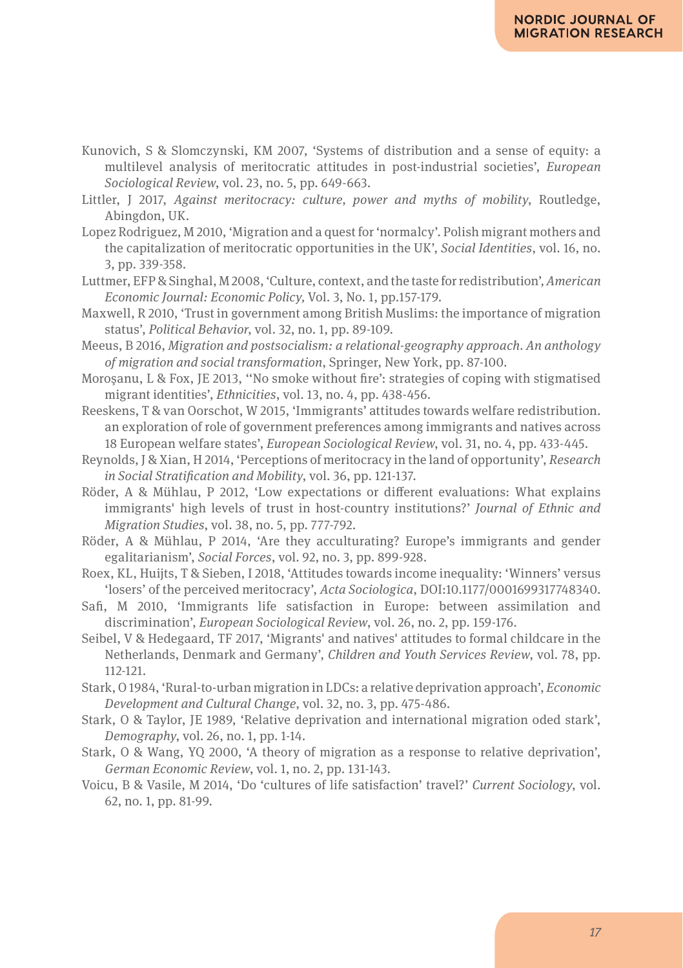- Kunovich, S & Slomczynski, KM 2007, 'Systems of distribution and a sense of equity: a multilevel analysis of meritocratic attitudes in post-industrial societies', *European Sociological Review*, vol. 23, no. 5, pp. 649-663.
- Littler, J 2017, *Against meritocracy: culture, power and myths of mobility*, Routledge, Abingdon, UK.
- Lopez Rodriguez, M 2010, 'Migration and a quest for 'normalcy'. Polish migrant mothers and the capitalization of meritocratic opportunities in the UK', *Social Identities*, vol. 16, no. 3, pp. 339-358.
- Luttmer, EFP & Singhal, M 2008, 'Culture, context, and the taste for redistribution'*,American Economic Journal: Economic Policy,* Vol. 3, No. 1, pp.157-179.
- Maxwell, R 2010, 'Trust in government among British Muslims: the importance of migration status', *Political Behavior*, vol. 32, no. 1, pp. 89-109.
- Meeus, B 2016, *Migration and postsocialism: a relational-geography approach. An anthology of migration and social transformation*, Springer, New York, pp. 87-100.
- Moroşanu, L & Fox, JE 2013, ''No smoke without fire': strategies of coping with stigmatised migrant identities', *Ethnicities*, vol. 13, no. 4, pp. 438-456.
- Reeskens, T & van Oorschot, W 2015, 'Immigrants' attitudes towards welfare redistribution. an exploration of role of government preferences among immigrants and natives across 18 European welfare states', *European Sociological Review*, vol. 31, no. 4, pp. 433-445.
- Reynolds, J & Xian, H 2014, 'Perceptions of meritocracy in the land of opportunity', *Research in Social Stratification and Mobility*, vol. 36, pp. 121-137.
- Röder, A & Mühlau, P 2012, 'Low expectations or different evaluations: What explains immigrants' high levels of trust in host-country institutions?' *Journal of Ethnic and Migration Studies*, vol. 38, no. 5, pp. 777-792.
- Röder, A & Mühlau, P 2014, 'Are they acculturating? Europe's immigrants and gender egalitarianism', *Social Forces*, vol. 92, no. 3, pp. 899-928.
- Roex, KL, Huijts, T & Sieben, I 2018, 'Attitudes towards income inequality: 'Winners' versus 'losers' of the perceived meritocracy', *Acta Sociologica*, DOI:10.1177/0001699317748340.
- Safi, M 2010, 'Immigrants life satisfaction in Europe: between assimilation and discrimination', *European Sociological Review*, vol. 26, no. 2, pp. 159-176.
- Seibel, V & Hedegaard, TF 2017, 'Migrants' and natives' attitudes to formal childcare in the Netherlands, Denmark and Germany', *Children and Youth Services Review*, vol. 78, pp. 112-121.
- Stark, O 1984, 'Rural-to-urban migration in LDCs: a relative deprivation approach', *Economic Development and Cultural Change*, vol. 32, no. 3, pp. 475-486.
- Stark, O & Taylor, JE 1989, 'Relative deprivation and international migration oded stark', *Demography*, vol. 26, no. 1, pp. 1-14.
- Stark, O & Wang, YQ 2000, 'A theory of migration as a response to relative deprivation', *German Economic Review*, vol. 1, no. 2, pp. 131-143.
- Voicu, B & Vasile, M 2014, 'Do 'cultures of life satisfaction' travel?' *Current Sociology*, vol. 62, no. 1, pp. 81-99.